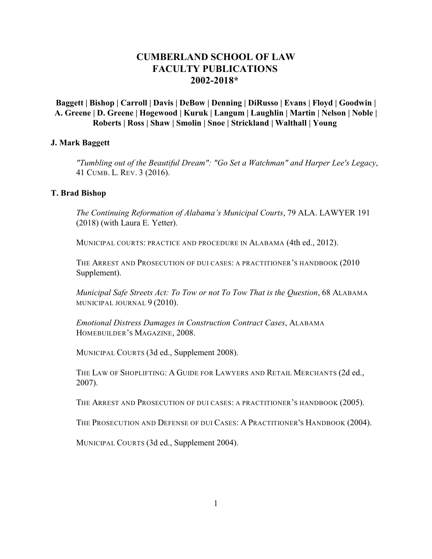# **CUMBERLAND SCHOOL OF LAW FACULTY PUBLICATIONS [2002-2018](#page-26-0)\***

### **Baggett | Bishop | [Carroll](#page-1-0) | [Davis](#page-1-0) | [DeBow](#page-2-0) | [Denning](#page-4-0) | [DiRusso](#page-10-0) | [Evans](#page-11-0) | [Floyd](#page-12-0) | [Goodwin](#page-12-0) | [A. Greene](#page-13-0) | [D. Greene](#page-13-0) | [Hogewood](#page-14-0) | [Kuruk](#page-15-0) | [Langum](#page-15-0) | [Laughlin](#page-17-0) | [Martin](#page-17-0) | [Nelson](#page-18-0) | [Noble](#page-19-0) | [Roberts](#page-19-0) | [Ross](#page-20-0) | [Shaw](#page-23-0) | [Smolin](#page-23-0) | [Snoe](#page-25-0) | [Strickland](#page-25-0) | [Walthall](#page-25-0) | [Young](#page-26-0)**

#### **J. Mark Baggett**

*"Tumbling out of the Beautiful Dream": "Go Set a Watchman" and Harper Lee's Legacy*, 41 CUMB. L. REV. 3 (2016).

#### **T. Brad Bishop**

*The Continuing Reformation of Alabama's Municipal Courts*, 79 ALA. LAWYER 191 (2018) (with Laura E. Yetter).

MUNICIPAL COURTS: PRACTICE AND PROCEDURE IN ALABAMA (4th ed., 2012).

THE ARREST AND PROSECUTION OF DUI CASES: A PRACTITIONER'S HANDBOOK (2010 Supplement).

*Municipal Safe Streets Act: To Tow or not To Tow That is the Question*, 68 ALABAMA MUNICIPAL JOURNAL 9 (2010).

*Emotional Distress Damages in Construction Contract Cases*, ALABAMA HOMEBUILDER'S MAGAZINE, 2008.

MUNICIPAL COURTS (3d ed., Supplement 2008).

THE LAW OF SHOPLIFTING: A GUIDE FOR LAWYERS AND RETAIL MERCHANTS (2d ed., 2007).

THE ARREST AND PROSECUTION OF DUI CASES: A PRACTITIONER'S HANDBOOK (2005).

THE PROSECUTION AND DEFENSE OF DUI CASES: A PRACTITIONER'S HANDBOOK (2004).

MUNICIPAL COURTS (3d ed., Supplement 2004).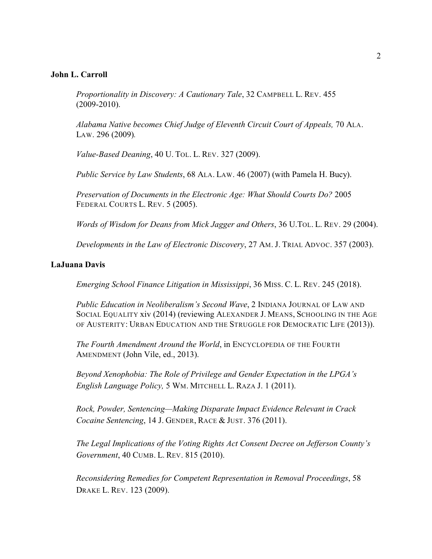### <span id="page-1-0"></span>**John L. Carroll**

*Proportionality in Discovery: A Cautionary Tale*, 32 CAMPBELL L. REV. 455 (2009-2010).

*Alabama Native becomes Chief Judge of Eleventh Circuit Court of Appeals,* 70 ALA. LAW. 296 (2009)*.* 

*Value-Based Deaning*, 40 U. TOL. L. REV. 327 (2009).

*Public Service by Law Students*, 68 ALA. LAW. 46 (2007) (with Pamela H. Bucy).

*Preservation of Documents in the Electronic Age: What Should Courts Do?* 2005 FEDERAL COURTS L. REV. 5 (2005).

*Words of Wisdom for Deans from Mick Jagger and Others*, 36 U.TOL. L. REV. 29 (2004).

*Developments in the Law of Electronic Discovery*, 27 AM. J. TRIAL ADVOC. 357 (2003).

#### **LaJuana Davis**

*Emerging School Finance Litigation in Mississippi*, 36 MISS. C. L. REV. 245 (2018).

*Public Education in Neoliberalism's Second Wave*, 2 INDIANA JOURNAL OF LAW AND SOCIAL EQUALITY xiv (2014) (reviewing ALEXANDER J. MEANS, SCHOOLING IN THE AGE OF AUSTERITY: URBAN EDUCATION AND THE STRUGGLE FOR DEMOCRATIC LIFE (2013)).

*The Fourth Amendment Around the World*, in ENCYCLOPEDIA OF THE FOURTH AMENDMENT (John Vile, ed., 2013).

*Beyond Xenophobia: The Role of Privilege and Gender Expectation in the LPGA's English Language Policy,* 5 WM. MITCHELL L. RAZA J. 1 (2011).

*Rock, Powder, Sentencing—Making Disparate Impact Evidence Relevant in Crack Cocaine Sentencing*, 14 J. GENDER, RACE & JUST. 376 (2011).

*The Legal Implications of the Voting Rights Act Consent Decree on Jefferson County's Government*, 40 CUMB. L. REV. 815 (2010).

*Reconsidering Remedies for Competent Representation in Removal Proceedings*, 58 DRAKE L. REV. 123 (2009).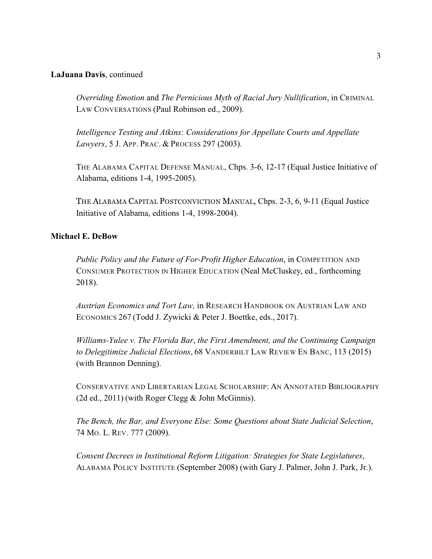### <span id="page-2-0"></span>**LaJuana Davis**, continued

*Overriding Emotion* and *The Pernicious Myth of Racial Jury Nullification*, in CRIMINAL LAW CONVERSATIONS (Paul Robinson ed., 2009).

*Intelligence Testing and Atkins: Considerations for Appellate Courts and Appellate Lawyers*, 5 J. APP. PRAC. & PROCESS 297 (2003).

THE ALABAMA CAPITAL DEFENSE MANUAL, Chps. 3-6, 12-17 (Equal Justice Initiative of Alabama, editions 1-4, 1995-2005).

THE ALABAMA CAPITAL POSTCONVICTION MANUAL, Chps. 2-3, 6, 9-11 (Equal Justice Initiative of Alabama, editions 1-4, 1998-2004).

### **Michael E. DeBow**

*Public Policy and the Future of For-Profit Higher Education*, in COMPETITION AND CONSUMER PROTECTION IN HIGHER EDUCATION (Neal McCluskey, ed., forthcoming 2018).

*Austrian Economics and Tort Law,* in RESEARCH HANDBOOK ON AUSTRIAN LAW AND ECONOMICS 267 (Todd J. Zywicki & Peter J. Boettke, eds., 2017).

*Williams-Yulee v. The Florida Bar*, *the First Amendment, and the Continuing Campaign to Delegitimize Judicial Elections*, 68 VANDERBILT LAW REVIEW EN BANC, 113 (2015) (with Brannon Denning).

CONSERVATIVE AND LIBERTARIAN LEGAL SCHOLARSHIP: AN ANNOTATED BIBLIOGRAPHY (2d ed., 2011) (with Roger Clegg & John McGinnis).

*The Bench, the Bar, and Everyone Else: Some Questions about State Judicial Selection*, 74 MO. L. REV. 777 (2009).

*Consent Decrees in Institutional Reform Litigation: Strategies for State Legislatures*, ALABAMA POLICY INSTITUTE (September 2008) (with Gary J. Palmer, John J. Park, Jr.).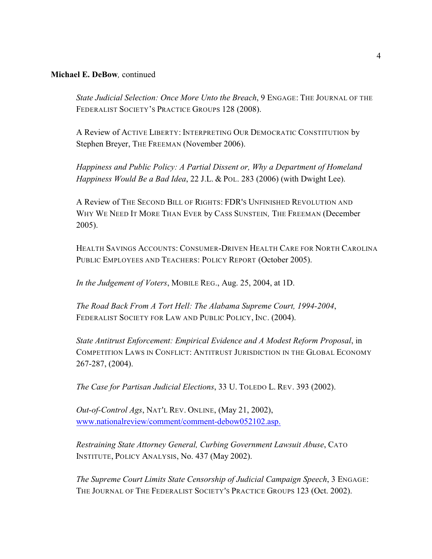### **Michael E. DeBow***,* continued

*State Judicial Selection: Once More Unto the Breach*, 9 ENGAGE: THE JOURNAL OF THE FEDERALIST SOCIETY'S PRACTICE GROUPS 128 (2008).

A Review of ACTIVE LIBERTY: INTERPRETING OUR DEMOCRATIC CONSTITUTION by Stephen Breyer, THE FREEMAN (November 2006).

*Happiness and Public Policy: A Partial Dissent or, Why a Department of Homeland Happiness Would Be a Bad Idea*, 22 J.L. & POL. 283 (2006) (with Dwight Lee).

A Review of THE SECOND BILL OF RIGHTS: FDR'S UNFINISHED REVOLUTION AND WHY WE NEED IT MORE THAN EVER by CASS SUNSTEIN*,* THE FREEMAN (December 2005).

HEALTH SAVINGS ACCOUNTS: CONSUMER-DRIVEN HEALTH CARE FOR NORTH CAROLINA PUBLIC EMPLOYEES AND TEACHERS: POLICY REPORT (October 2005).

*In the Judgement of Voters*, MOBILE REG., Aug. 25, 2004, at 1D.

*The Road Back From A Tort Hell: The Alabama Supreme Court, 1994-2004*, FEDERALIST SOCIETY FOR LAW AND PUBLIC POLICY, INC. (2004).

*State Antitrust Enforcement: Empirical Evidence and A Modest Reform Proposal*, in COMPETITION LAWS IN CONFLICT: ANTITRUST JURISDICTION IN THE GLOBAL ECONOMY 267-287, (2004).

*The Case for Partisan Judicial Elections*, 33 U. TOLEDO L. REV. 393 (2002).

*Out-of-Control Ags*, NAT'L REV. ONLINE, (May 21, 2002), [www.nationalreview/comment/comment-debow052102.asp.](http://www.nationalreview/comment/comment-debow052102.asp.)

*Restraining State Attorney General, Curbing Government Lawsuit Abuse*, CATO INSTITUTE, POLICY ANALYSIS, No. 437 (May 2002).

*The Supreme Court Limits State Censorship of Judicial Campaign Speech*, 3 ENGAGE: THE JOURNAL OF THE FEDERALIST SOCIETY'S PRACTICE GROUPS 123 (Oct. 2002).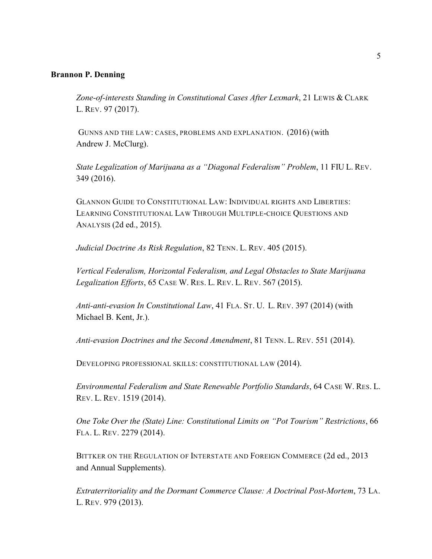#### <span id="page-4-0"></span>**Brannon P. Denning**

*Zone-of-interests Standing in Constitutional Cases After Lexmark*, 21 LEWIS & CLARK L. REV. 97 (2017).

 GUNNS AND THE LAW: CASES, PROBLEMS AND EXPLANATION. (2016) (with Andrew J. McClurg).

*State Legalization of Marijuana as a "Diagonal Federalism" Problem*, 11 FIU L. REV. 349 (2016).

GLANNON GUIDE TO CONSTITUTIONAL LAW: INDIVIDUAL RIGHTS AND LIBERTIES: LEARNING CONSTITUTIONAL LAW THROUGH MULTIPLE-CHOICE QUESTIONS AND ANALYSIS (2d ed., 2015).

*Judicial Doctrine As Risk Regulation*, 82 TENN. L. REV. 405 (2015).

*Vertical Federalism, Horizontal Federalism, and Legal Obstacles to State Marijuana Legalization Efforts*, 65 CASE W. RES. L. REV. L. REV. 567 (2015).

*Anti-anti-evasion In Constitutional Law*, 41 FLA. ST. U. L. REV. 397 (2014) (with Michael B. Kent, Jr.).

*Anti-evasion Doctrines and the Second Amendment*, 81 TENN. L. REV. 551 (2014).

DEVELOPING PROFESSIONAL SKILLS: CONSTITUTIONAL LAW (2014).

*Environmental Federalism and State Renewable Portfolio Standards*, 64 CASE W. RES. L. REV. L. REV. 1519 (2014).

*One Toke Over the (State) Line: Constitutional Limits on "Pot Tourism" Restrictions*, 66 FLA. L. REV. 2279 (2014).

BITTKER ON THE REGULATION OF INTERSTATE AND FOREIGN COMMERCE (2d ed., 2013 and Annual Supplements).

*Extraterritoriality and the Dormant Commerce Clause: A Doctrinal Post-Mortem*, 73 LA. L. REV. 979 (2013).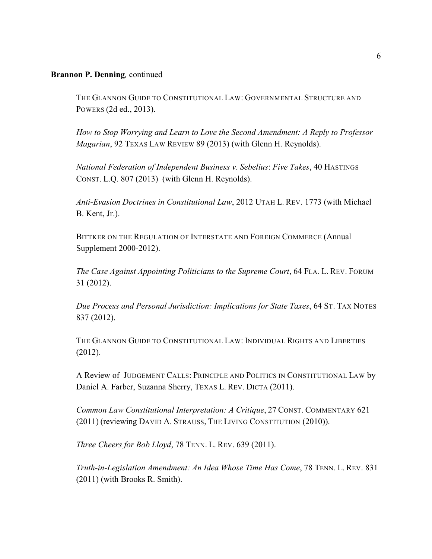THE GLANNON GUIDE TO CONSTITUTIONAL LAW: GOVERNMENTAL STRUCTURE AND POWERS (2d ed., 2013).

*How to Stop Worrying and Learn to Love the Second Amendment: A Reply to Professor Magarian*, 92 TEXAS LAW REVIEW 89 (2013) (with Glenn H. Reynolds).

*National Federation of Independent Business v. Sebelius*: *Five Takes*, 40 HASTINGS CONST. L.Q. 807 (2013) (with Glenn H. Reynolds).

*Anti-Evasion Doctrines in Constitutional Law*, 2012 UTAH L. REV. 1773 (with Michael B. Kent, Jr.).

BITTKER ON THE REGULATION OF INTERSTATE AND FOREIGN COMMERCE (Annual Supplement 2000-2012).

*The Case Against Appointing Politicians to the Supreme Court*, 64 FLA. L. REV. FORUM 31 (2012).

*Due Process and Personal Jurisdiction: Implications for State Taxes*, 64 ST. TAX NOTES 837 (2012).

THE GLANNON GUIDE TO CONSTITUTIONAL LAW: INDIVIDUAL RIGHTS AND LIBERTIES (2012).

A Review of JUDGEMENT CALLS: PRINCIPLE AND POLITICS IN CONSTITUTIONAL LAW by Daniel A. Farber, Suzanna Sherry, TEXAS L. REV. DICTA (2011).

*Common Law Constitutional Interpretation: A Critique*, 27 CONST. COMMENTARY 621 (2011) (reviewing DAVID A. STRAUSS, THE LIVING CONSTITUTION (2010)).

*Three Cheers for Bob Lloyd*, 78 TENN. L. REV. 639 (2011).

*Truth-in-Legislation Amendment: An Idea Whose Time Has Come*, 78 TENN. L. REV. 831 (2011) (with Brooks R. Smith).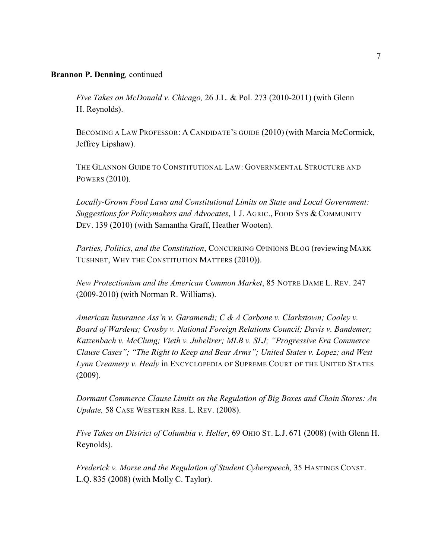*Five Takes on McDonald v. Chicago,* 26 J.L. & Pol. 273 (2010-2011) (with Glenn H. Reynolds).

BECOMING A LAW PROFESSOR: A CANDIDATE'S GUIDE (2010) (with Marcia McCormick, Jeffrey Lipshaw).

THE GLANNON GUIDE TO CONSTITUTIONAL LAW: GOVERNMENTAL STRUCTURE AND POWERS (2010).

*Locally-Grown Food Laws and Constitutional Limits on State and Local Government: Suggestions for Policymakers and Advocates*, 1 J. AGRIC., FOOD SYS & COMMUNITY DEV. 139 (2010) (with Samantha Graff, Heather Wooten).

*Parties, Politics, and the Constitution*, CONCURRING OPINIONS BLOG (reviewing MARK TUSHNET, WHY THE CONSTITUTION MATTERS (2010)).

*New Protectionism and the American Common Market*, 85 NOTRE DAME L. REV. 247 (2009-2010) (with Norman R. Williams).

*American Insurance Ass'n v. Garamendi; C & A Carbone v. Clarkstown; Cooley v. Board of Wardens; Crosby v. National Foreign Relations Council; Davis v. Bandemer; Katzenbach v. McClung; Vieth v. Jubelirer; MLB v. SLJ; "Progressive Era Commerce Clause Cases"; "The Right to Keep and Bear Arms"; United States v. Lopez; and West Lynn Creamery v. Healy* in ENCYCLOPEDIA OF SUPREME COURT OF THE UNITED STATES (2009).

*Dormant Commerce Clause Limits on the Regulation of Big Boxes and Chain Stores: An Update,* 58 CASE WESTERN RES. L. REV. (2008).

*Five Takes on District of Columbia v. Heller*, 69 OHIO ST. L.J. 671 (2008) (with Glenn H. Reynolds).

*Frederick v. Morse and the Regulation of Student Cyberspeech,* 35 HASTINGS CONST. L.Q. 835 (2008) (with Molly C. Taylor).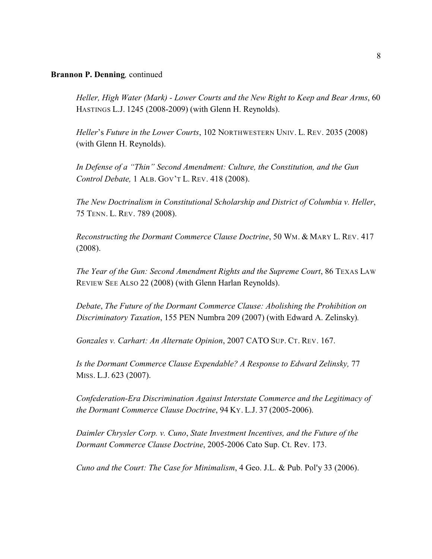*Heller, High Water (Mark) - Lower Courts and the New Right to Keep and Bear Arms*, 60 HASTINGS L.J. 1245 (2008-2009) (with Glenn H. Reynolds).

*Heller*'s *Future in the Lower Courts*, 102 NORTHWESTERN UNIV. L. REV. 2035 (2008) (with Glenn H. Reynolds).

*In Defense of a "Thin" Second Amendment: Culture, the Constitution, and the Gun Control Debate,* 1 ALB. GOV'T L. REV. 418 (2008).

*The New Doctrinalism in Constitutional Scholarship and District of Columbia v. Heller*, 75 TENN. L. REV. 789 (2008).

*Reconstructing the Dormant Commerce Clause Doctrine*, 50 WM. & MARY L. REV. 417 (2008).

*The Year of the Gun: Second Amendment Rights and the Supreme Court*, 86 TEXAS LAW REVIEW SEE ALSO 22 (2008) (with Glenn Harlan Reynolds).

*Debate*, *The Future of the Dormant Commerce Clause: Abolishing the Prohibition on Discriminatory Taxation*, 155 PEN Numbra 209 (2007) (with Edward A. Zelinsky)*.*

*Gonzales v. Carhart: An Alternate Opinion*, 2007 CATO SUP. CT. REV. 167.

*Is the Dormant Commerce Clause Expendable? A Response to Edward Zelinsky,* 77 MISS. L.J. 623 (2007).

*Confederation-Era Discrimination Against Interstate Commerce and the Legitimacy of the Dormant Commerce Clause Doctrine*, 94 KY. L.J. 37 (2005-2006).

*Daimler Chrysler Corp. v. Cuno*, *State Investment Incentives, and the Future of the Dormant Commerce Clause Doctrine*, 2005-2006 Cato Sup. Ct. Rev. 173.

*Cuno and the Court: The Case for Minimalism, 4 Geo. J.L. & Pub. Pol'y 33 (2006).*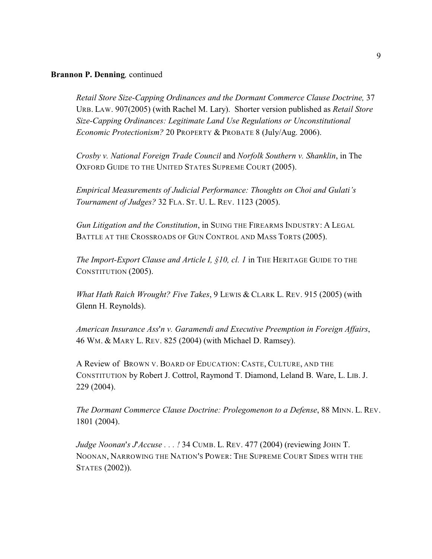*Retail Store Size-Capping Ordinances and the Dormant Commerce Clause Doctrine,* 37 URB. LAW. 907(2005) (with Rachel M. Lary). Shorter version published as *Retail Store Size-Capping Ordinances: Legitimate Land Use Regulations or Unconstitutional Economic Protectionism?* 20 PROPERTY & PROBATE 8 (July/Aug. 2006).

*Crosby v. National Foreign Trade Council* and *Norfolk Southern v. Shanklin*, in The OXFORD GUIDE TO THE UNITED STATES SUPREME COURT (2005).

*Empirical Measurements of Judicial Performance: Thoughts on Choi and Gulati's Tournament of Judges?* 32 FLA. ST. U. L. REV. 1123 (2005).

*Gun Litigation and the Constitution*, in SUING THE FIREARMS INDUSTRY: A LEGAL BATTLE AT THE CROSSROADS OF GUN CONTROL AND MASS TORTS (2005).

*The Import-Export Clause and Article I, §10, cl. 1* in THE HERITAGE GUIDE TO THE CONSTITUTION (2005).

*What Hath Raich Wrought? Five Takes*, 9 LEWIS & CLARK L. REV. 915 (2005) (with Glenn H. Reynolds).

*American Insurance Ass=n v. Garamendi and Executive Preemption in Foreign Affairs*, 46 WM. & MARY L. REV. 825 (2004) (with Michael D. Ramsey).

A Review ofBROWN V. BOARD OF EDUCATION: CASTE, CULTURE, AND THE CONSTITUTION by Robert J. Cottrol, Raymond T. Diamond, Leland B. Ware, L. LIB. J. 229 (2004).

*The Dormant Commerce Clause Doctrine: Prolegomenon to a Defense*, 88 MINN. L. REV. 1801 (2004).

*Judge Noonan's J'Accuse . . . !* 34 CUMB. L. REV. 477 (2004) (reviewing JOHN T. NOONAN, NARROWING THE NATION'S POWER: THE SUPREME COURT SIDES WITH THE STATES (2002)).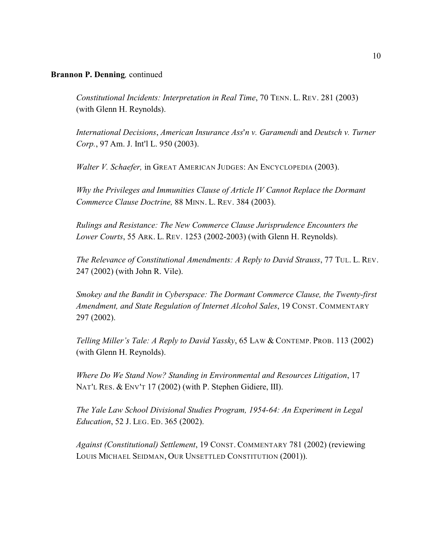*Constitutional Incidents: Interpretation in Real Time*, 70 TENN. L. REV. 281 (2003) (with Glenn H. Reynolds).

*International Decisions, American Insurance Ass'n v. Garamendi* and *Deutsch v. Turner Corp.*, 97 Am. J. Int'l L. 950 (2003).

*Walter V. Schaefer,* in GREAT AMERICAN JUDGES: AN ENCYCLOPEDIA (2003).

*Why the Privileges and Immunities Clause of Article IV Cannot Replace the Dormant Commerce Clause Doctrine,* 88 MINN. L. REV. 384 (2003).

*Rulings and Resistance: The New Commerce Clause Jurisprudence Encounters the Lower Courts*, 55 ARK. L. REV. 1253 (2002-2003) (with Glenn H. Reynolds).

*The Relevance of Constitutional Amendments: A Reply to David Strauss*, 77 TUL. L. REV. 247 (2002) (with John R. Vile).

*Smokey and the Bandit in Cyberspace: The Dormant Commerce Clause, the Twenty-first Amendment, and State Regulation of Internet Alcohol Sales*, 19 CONST. COMMENTARY 297 (2002).

*Telling Miller's Tale: A Reply to David Yassky*, 65 LAW & CONTEMP. PROB. 113 (2002) (with Glenn H. Reynolds).

*Where Do We Stand Now? Standing in Environmental and Resources Litigation*, 17 NAT'L RES. & ENV'T 17 (2002) (with P. Stephen Gidiere, III).

*The Yale Law School Divisional Studies Program, 1954-64: An Experiment in Legal Education*, 52 J. LEG. ED. 365 (2002).

*Against (Constitutional) Settlement*, 19 CONST. COMMENTARY 781 (2002) (reviewing LOUIS MICHAEL SEIDMAN, OUR UNSETTLED CONSTITUTION (2001)).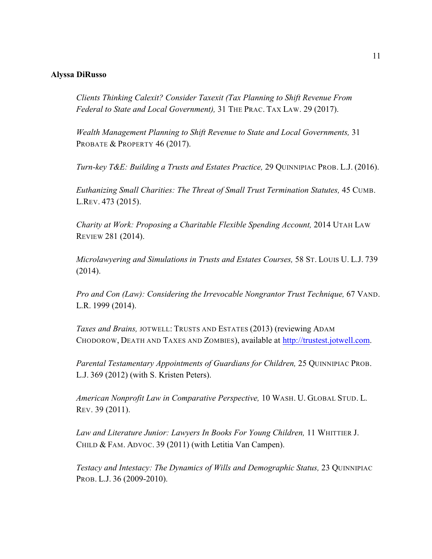#### <span id="page-10-0"></span>**Alyssa DiRusso**

*Clients Thinking Calexit? Consider Taxexit (Tax Planning to Shift Revenue From Federal to State and Local Government),* 31 THE PRAC. TAX LAW. 29 (2017).

*Wealth Management Planning to Shift Revenue to State and Local Governments,* 31 PROBATE & PROPERTY 46 (2017).

*Turn-key T&E: Building a Trusts and Estates Practice,* 29 QUINNIPIAC PROB. L.J. (2016).

*Euthanizing Small Charities: The Threat of Small Trust Termination Statutes,* 45 CUMB. L.REV. 473 (2015).

*Charity at Work: Proposing a Charitable Flexible Spending Account,* 2014 UTAH LAW REVIEW 281 (2014).

*Microlawyering and Simulations in Trusts and Estates Courses,* 58 ST. LOUIS U. L.J. 739 (2014).

*Pro and Con (Law): Considering the Irrevocable Nongrantor Trust Technique, 67 VAND.* L.R. 1999 (2014).

*Taxes and Brains,* JOTWELL: TRUSTS AND ESTATES (2013) (reviewing ADAM CHODOROW, DEATH AND TAXES AND ZOMBIES), available at<http://trustest.jotwell.com>.

*Parental Testamentary Appointments of Guardians for Children,* 25 QUINNIPIAC PROB. L.J. 369 (2012) (with S. Kristen Peters).

*American Nonprofit Law in Comparative Perspective,* 10 WASH. U. GLOBAL STUD. L. REV. 39 (2011).

*Law and Literature Junior: Lawyers In Books For Young Children,* 11 WHITTIER J. CHILD & FAM. ADVOC. 39 (2011) (with Letitia Van Campen).

*Testacy and Intestacy: The Dynamics of Wills and Demographic Status,* 23 QUINNIPIAC PROB. L.J. 36 (2009-2010).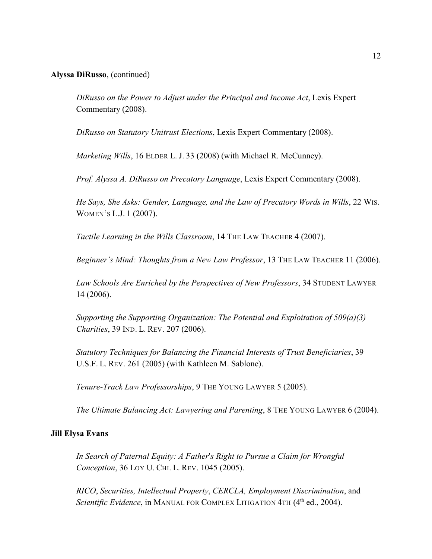#### <span id="page-11-0"></span>**Alyssa DiRusso**, (continued)

*DiRusso on the Power to Adjust under the Principal and Income Act*, Lexis Expert Commentary (2008).

*DiRusso on Statutory Unitrust Elections*, Lexis Expert Commentary (2008).

*Marketing Wills*, 16 ELDER L. J. 33 (2008) (with Michael R. McCunney).

*Prof. Alyssa A. DiRusso on Precatory Language*, Lexis Expert Commentary (2008).

*He Says, She Asks: Gender, Language, and the Law of Precatory Words in Wills, 22 Wis.* WOMEN'S L.J. 1 (2007).

*Tactile Learning in the Wills Classroom*, 14 THE LAW TEACHER 4 (2007).

*Beginner's Mind: Thoughts from a New Law Professor*, 13 THE LAW TEACHER 11 (2006).

*Law Schools Are Enriched by the Perspectives of New Professors*, 34 STUDENT LAWYER 14 (2006).

*Supporting the Supporting Organization: The Potential and Exploitation of 509(a)(3) Charities*, 39 IND. L. REV. 207 (2006).

*Statutory Techniques for Balancing the Financial Interests of Trust Beneficiaries*, 39 U.S.F. L. REV. 261 (2005) (with Kathleen M. Sablone).

*Tenure-Track Law Professorships*, 9 THE YOUNG LAWYER 5 (2005).

*The Ultimate Balancing Act: Lawyering and Parenting*, 8 THE YOUNG LAWYER 6 (2004).

### **Jill Elysa Evans**

*In Search of Paternal Equity: A Father's Right to Pursue a Claim for Wrongful Conception*, 36 LOY U. CHI. L. REV. 1045 (2005).

*RICO*, *Securities, Intellectual Property*, *CERCLA, Employment Discrimination*, and *Scientific Evidence*, in MANUAL FOR COMPLEX LITIGATION 4TH (4<sup>th</sup> ed., 2004).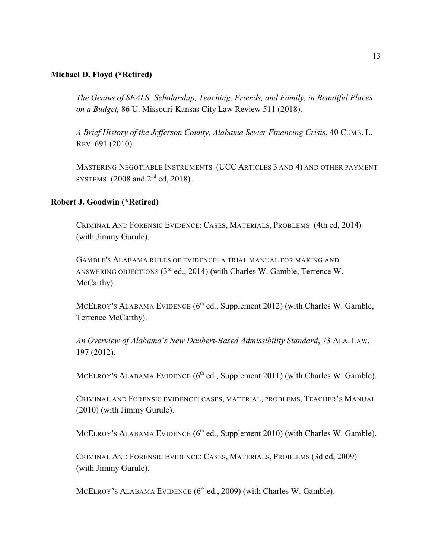#### <span id="page-12-0"></span>**Michael D. Floyd (\*Retired)**

*The Genius of SEALS: Scholarship, Teaching, Friends, and Family, in Beautiful Places on a Budget,* 86 U. Missouri-Kansas City Law Review 511 (2018).

*A Brief History of the Jefferson County, Alabama Sewer Financing Crisis*, 40 CUMB. L. REV. 691 (2010).

MASTERING NEGOTIABLE INSTRUMENTS (UCC ARTICLES 3 AND 4) AND OTHER PAYMENT SYSTEMS  $(2008 \text{ and } 2^{\text{nd}} \text{ ed}, 2018).$ 

### **Robert J. Goodwin (\*Retired)**

CRIMINAL AND FORENSIC EVIDENCE: CASES, MATERIALS, PROBLEMS (4th ed, 2014) (with Jimmy Gurule).

GAMBLE'S ALABAMA RULES OF EVIDENCE: A TRIAL MANUAL FOR MAKING AND ANSWERING OBJECTIONS  $(3^{rd}$  ed., 2014) (with Charles W. Gamble, Terrence W. McCarthy).

MCELROY'S ALABAMA EVIDENCE  $(6<sup>th</sup>$  ed., Supplement 2012) (with Charles W. Gamble, Terrence McCarthy).

*An Overview of Alabama's New Daubert-Based Admissibility Standard*, 73 ALA. LAW. 197 (2012).

MCELROY's ALABAMA EVIDENCE (6<sup>th</sup> ed., Supplement 2011) (with Charles W. Gamble).

CRIMINAL AND FORENSIC EVIDENCE: CASES, MATERIAL, PROBLEMS, TEACHER'S MANUAL (2010) (with Jimmy Gurule).

MCELROY's ALABAMA EVIDENCE (6<sup>th</sup> ed., Supplement 2010) (with Charles W. Gamble).

CRIMINAL AND FORENSIC EVIDENCE: CASES, MATERIALS, PROBLEMS (3d ed, 2009) (with Jimmy Gurule).

MCELROY'S ALABAMA EVIDENCE  $(6<sup>th</sup>$  ed., 2009) (with Charles W. Gamble).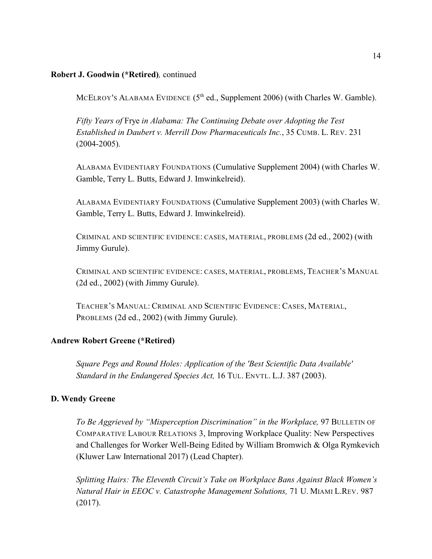### <span id="page-13-0"></span>**Robert J. Goodwin (\*Retired)***,* continued

MCELROY's ALABAMA EVIDENCE  $(5<sup>th</sup>$  ed., Supplement 2006) (with Charles W. Gamble).

*Fifty Years of* Frye *in Alabama: The Continuing Debate over Adopting the Test Established in Daubert v. Merrill Dow Pharmaceuticals Inc.*, 35 CUMB. L. REV. 231 (2004-2005).

ALABAMA EVIDENTIARY FOUNDATIONS (Cumulative Supplement 2004) (with Charles W. Gamble, Terry L. Butts, Edward J. Imwinkelreid).

ALABAMA EVIDENTIARY FOUNDATIONS (Cumulative Supplement 2003) (with Charles W. Gamble, Terry L. Butts, Edward J. Imwinkelreid).

CRIMINAL AND SCIENTIFIC EVIDENCE: CASES, MATERIAL, PROBLEMS (2d ed., 2002) (with Jimmy Gurule).

CRIMINAL AND SCIENTIFIC EVIDENCE: CASES, MATERIAL, PROBLEMS, TEACHER'S MANUAL (2d ed., 2002) (with Jimmy Gurule).

TEACHER'S MANUAL: CRIMINAL AND SCIENTIFIC EVIDENCE: CASES, MATERIAL, PROBLEMS (2d ed., 2002) (with Jimmy Gurule).

### **Andrew Robert Greene (\*Retired)**

*Square Pegs and Round Holes: Application of the 'Best Scientific Data Available' Standard in the Endangered Species Act,* 16 TUL. ENVTL. L.J. 387 (2003).

#### **D. Wendy Greene**

*To Be Aggrieved by "Misperception Discrimination" in the Workplace,* 97 BULLETIN OF COMPARATIVE LABOUR RELATIONS 3, Improving Workplace Quality: New Perspectives and Challenges for Worker Well-Being Edited by William Bromwich & Olga Rymkevich (Kluwer Law International 2017) (Lead Chapter).

*Splitting Hairs: The Eleventh Circuit's Take on Workplace Bans Against Black Women's Natural Hair in EEOC v. Catastrophe Management Solutions,* 71 U. MIAMI L.REV. 987 (2017).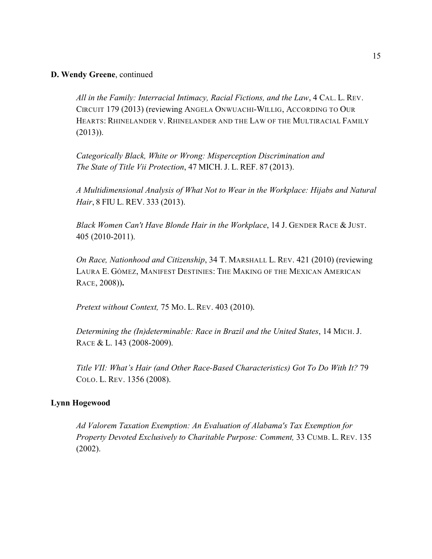### <span id="page-14-0"></span>**D. Wendy Greene**, continued

*All in the Family: Interracial Intimacy, Racial Fictions, and the Law*, 4 CAL. L. REV. CIRCUIT 179 (2013) (reviewing ANGELA ONWUACHI-WILLIG, ACCORDING TO OUR HEARTS: RHINELANDER V. RHINELANDER AND THE LAW OF THE MULTIRACIAL FAMILY (2013)).

*Categorically Black, White or Wrong: Misperception Discrimination and The State of Title Vii Protection*, 47 MICH. J. L. REF. 87 (2013).

*A Multidimensional Analysis of What Not to Wear in the Workplace: Hijabs and Natural Hair*, 8 FIU L. REV. 333 (2013).

*Black Women Can't Have Blonde Hair in the Workplace*, 14 J. GENDER RACE & JUST. 405 (2010-2011).

*On Race, Nationhood and Citizenship*, 34 T. MARSHALL L. REV. 421 (2010) (reviewing LAURA E. GÓMEZ, MANIFEST DESTINIES: THE MAKING OF THE MEXICAN AMERICAN RACE, 2008))**.**

*Pretext without Context,* 75 MO. L. REV. 403 (2010).

*Determining the (In)determinable: Race in Brazil and the United States*, 14 MICH. J. RACE & L. 143 (2008-2009).

*Title VII: What's Hair (and Other Race-Based Characteristics) Got To Do With It?* 79 COLO. L. REV. 1356 (2008).

#### **Lynn Hogewood**

*Ad Valorem Taxation Exemption: An Evaluation of Alabama's Tax Exemption for Property Devoted Exclusively to Charitable Purpose: Comment,* 33 CUMB. L. REV. 135 (2002).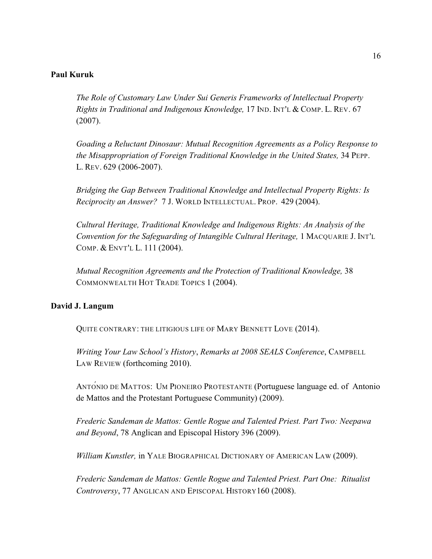### <span id="page-15-0"></span>**Paul Kuruk**

*The Role of Customary Law Under Sui Generis Frameworks of Intellectual Property Rights in Traditional and Indigenous Knowledge, 17 IND. INT'L & COMP. L. REV. 67* (2007).

*Goading a Reluctant Dinosaur: Mutual Recognition Agreements as a Policy Response to the Misappropriation of Foreign Traditional Knowledge in the United States,* 34 PEPP. L. REV. 629 (2006-2007).

*Bridging the Gap Between Traditional Knowledge and Intellectual Property Rights: Is Reciprocity an Answer?* 7 J. WORLD INTELLECTUAL. PROP. 429 (2004).

*Cultural Heritage, Traditional Knowledge and Indigenous Rights: An Analysis of the Convention for the Safeguarding of Intangible Cultural Heritage, 1 MACQUARIE J. INT'L* COMP. & ENVT'L L. 111 (2004).

*Mutual Recognition Agreements and the Protection of Traditional Knowledge,* 38 COMMONWEALTH HOT TRADE TOPICS 1 (2004).

#### **David J. Langum**

QUITE CONTRARY: THE LITIGIOUS LIFE OF MARY BENNETT LOVE (2014).

*Writing Your Law School's History*, *Remarks at 2008 SEALS Conference*, CAMPBELL LAW REVIEW (forthcoming 2010).

ANTONIO DE MATTOS: UM PIONEIRO PROTESTANTE (Portuguese language ed. of Antonio de Mattos and the Protestant Portuguese Community) (2009).

*Frederic Sandeman de Mattos: Gentle Rogue and Talented Priest. Part Two: Neepawa and Beyond*, 78 Anglican and Episcopal History 396 (2009).

*William Kunstler,* in YALE BIOGRAPHICAL DICTIONARY OF AMERICAN LAW (2009).

*Frederic Sandeman de Mattos: Gentle Rogue and Talented Priest. Part One: Ritualist Controversy*, 77 ANGLICAN AND EPISCOPAL HISTORY160 (2008).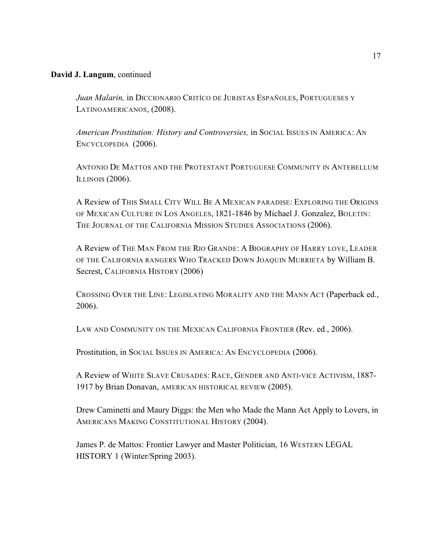### **David J. Langum**, continued

*Juan Malarin,* in DICCIONARIO CRITÍCO DE JURISTAS ESPAÑOLES, PORTUGUESES Y LATINOAMERICANOS, (2008).

*American Prostitution: History and Controversies,* in SOCIAL ISSUES IN AMERICA: AN ENCYCLOPEDIA (2006).

ANTONIO DE MATTOS AND THE PROTESTANT PORTUGUESE COMMUNITY IN ANTEBELLUM ILLINOIS (2006).

A Review of THIS SMALL CITY WILL BE A MEXICAN PARADISE: EXPLORING THE ORIGINS OF MEXICAN CULTURE IN LOS ANGELES, 1821-1846 by Michael J. Gonzalez, BOLETIN: THE JOURNAL OF THE CALIFORNIA MISSION STUDIES ASSOCIATIONS (2006).

A Review of THE MAN FROM THE RIO GRANDE: A BIOGRAPHY OF HARRY LOVE, LEADER OF THE CALIFORNIA RANGERS WHO TRACKED DOWN JOAQUIN MURRIETA by William B. Secrest, CALIFORNIA HISTORY (2006)

CROSSING OVER THE LINE: LEGISLATING MORALITY AND THE MANN ACT (Paperback ed., 2006).

LAW AND COMMUNITY ON THE MEXICAN CALIFORNIA FRONTIER (Rev. ed., 2006).

Prostitution, in SOCIAL ISSUES IN AMERICA: AN ENCYCLOPEDIA (2006).

A Review of WHITE SLAVE CRUSADES: RACE, GENDER AND ANTI-VICE ACTIVISM, 1887- 1917 by Brian Donavan, AMERICAN HISTORICAL REVIEW (2005).

Drew Caminetti and Maury Diggs: the Men who Made the Mann Act Apply to Lovers, in AMERICANS MAKING CONSTITUTIONAL HISTORY (2004).

James P. de Mattos: Frontier Lawyer and Master Politician, 16 WESTERN LEGAL HISTORY 1 (Winter/Spring 2003).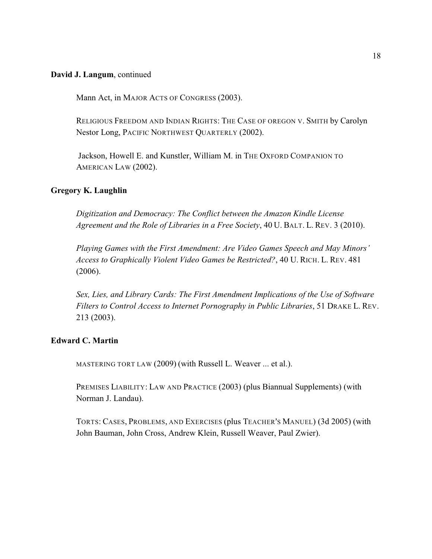#### <span id="page-17-0"></span>**David J. Langum**, continued

Mann Act, in MAJOR ACTS OF CONGRESS (2003).

RELIGIOUS FREEDOM AND INDIAN RIGHTS: THE CASE OF OREGON V. SMITH by Carolyn Nestor Long, PACIFIC NORTHWEST QUARTERLY (2002).

 Jackson, Howell E. and Kunstler, William M. in THE OXFORD COMPANION TO AMERICAN LAW (2002).

### **Gregory K. Laughlin**

*Digitization and Democracy: The Conflict between the Amazon Kindle License Agreement and the Role of Libraries in a Free Society*, 40 U. BALT. L. REV. 3 (2010).

*Playing Games with the First Amendment: Are Video Games Speech and May Minors' Access to Graphically Violent Video Games be Restricted?*, 40 U. RICH. L. REV. 481 (2006).

*Sex, Lies, and Library Cards: The First Amendment Implications of the Use of Software Filters to Control Access to Internet Pornography in Public Libraries*, 51 DRAKE L. REV. 213 (2003).

#### **Edward C. Martin**

MASTERING TORT LAW (2009) (with Russell L. Weaver ... et al.).

PREMISES LIABILITY: LAW AND PRACTICE (2003) (plus Biannual Supplements) (with Norman J. Landau).

TORTS: CASES, PROBLEMS, AND EXERCISES (plus TEACHER'S MANUEL) (3d 2005) (with John Bauman, John Cross, Andrew Klein, Russell Weaver, Paul Zwier).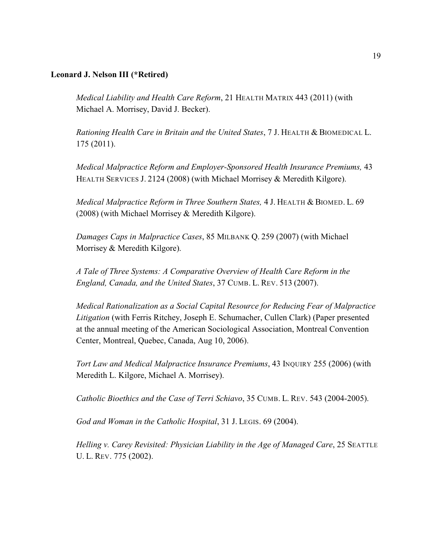#### <span id="page-18-0"></span>**Leonard J. Nelson III (\*Retired)**

*Medical Liability and Health Care Reform*, 21 HEALTH MATRIX 443 (2011) (with Michael A. Morrisey, David J. Becker).

*Rationing Health Care in Britain and the United States*, 7 J. HEALTH & BIOMEDICAL L. 175 (2011).

*Medical Malpractice Reform and Employer-Sponsored Health Insurance Premiums,* 43 HEALTH SERVICES J. 2124 (2008) (with Michael Morrisey & Meredith Kilgore).

*Medical Malpractice Reform in Three Southern States,* 4 J. HEALTH & BIOMED. L. 69 (2008) (with Michael Morrisey & Meredith Kilgore).

*Damages Caps in Malpractice Cases*, 85 MILBANK Q. 259 (2007) (with Michael Morrisey & Meredith Kilgore).

*A Tale of Three Systems: A Comparative Overview of Health Care Reform in the England, Canada, and the United States*, 37 CUMB. L. REV. 513 (2007).

*Medical Rationalization as a Social Capital Resource for Reducing Fear of Malpractice Litigation* (with Ferris Ritchey, Joseph E. Schumacher, Cullen Clark) (Paper presented at the annual meeting of the American Sociological Association, Montreal Convention Center, Montreal, Quebec, Canada, Aug 10, 2006).

*Tort Law and Medical Malpractice Insurance Premiums*, 43 INQUIRY 255 (2006) (with Meredith L. Kilgore, Michael A. Morrisey).

*Catholic Bioethics and the Case of Terri Schiavo*, 35 CUMB. L. REV. 543 (2004-2005).

*God and Woman in the Catholic Hospital*, 31 J. LEGIS. 69 (2004).

*Helling v. Carey Revisited: Physician Liability in the Age of Managed Care*, 25 SEATTLE U. L. REV. 775 (2002).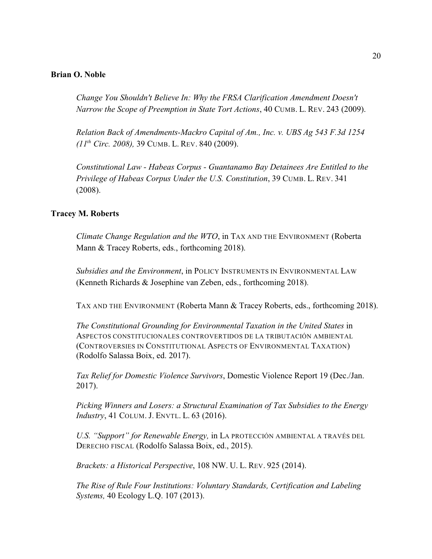#### <span id="page-19-0"></span>**Brian O. Noble**

*Change You Shouldn't Believe In: Why the FRSA Clarification Amendment Doesn't Narrow the Scope of Preemption in State Tort Actions*, 40 CUMB. L. REV. 243 (2009).

*Relation Back of Amendments-Mackro Capital of Am., Inc. v. UBS Ag 543 F.3d 1254 (11<sup>th</sup> Circ. 2008)*, 39 CUMB. L. REV. 840 (2009).

*Constitutional Law - Habeas Corpus - Guantanamo Bay Detainees Are Entitled to the Privilege of Habeas Corpus Under the U.S. Constitution*, 39 CUMB. L. REV. 341 (2008).

#### **Tracey M. Roberts**

*Climate Change Regulation and the WTO*, in TAX AND THE ENVIRONMENT (Roberta Mann & Tracey Roberts, eds., forthcoming 2018).

*Subsidies and the Environment*, in POLICY INSTRUMENTS IN ENVIRONMENTAL LAW (Kenneth Richards & Josephine van Zeben, eds., forthcoming 2018).

TAX AND THE ENVIRONMENT (Roberta Mann & Tracey Roberts, eds., forthcoming 2018).

*The Constitutional Grounding for Environmental Taxation in the United States* in ASPECTOS CONSTITUCIONALES CONTROVERTIDOS DE LA TRIBUTACIÓN AMBIENTAL (CONTROVERSIES IN CONSTITUTIONAL ASPECTS OF ENVIRONMENTAL TAXATION) (Rodolfo Salassa Boix, ed. 2017).

*Tax Relief for Domestic Violence Survivors*, Domestic Violence Report 19 (Dec./Jan. 2017).

*Picking Winners and Losers: a Structural Examination of Tax Subsidies to the Energy Industry*, 41 COLUM. J. ENVTL. L. 63 (2016).

*U.S. "Support" for Renewable Energy,* in LA PROTECCIÓN AMBIENTAL A TRAVÉS DEL DERECHO FISCAL (Rodolfo Salassa Boix, ed., 2015).

*Brackets: a Historical Perspective*, 108 NW. U. L. REV. 925 (2014).

*The Rise of Rule Four Institutions: Voluntary Standards, Certification and Labeling Systems,* 40 Ecology L.Q. 107 (2013).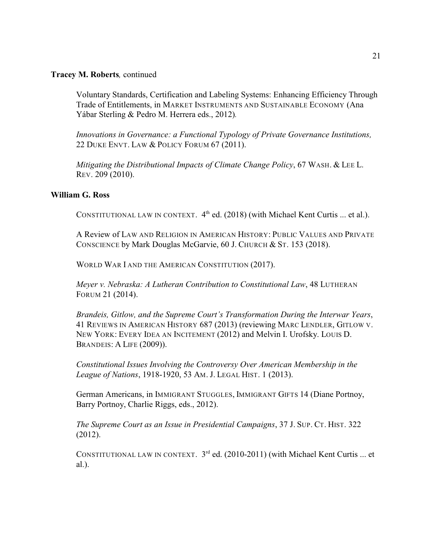### <span id="page-20-0"></span>**Tracey M. Roberts***,* continued

Voluntary Standards, Certification and Labeling Systems: Enhancing Efficiency Through Trade of Entitlements, in MARKET INSTRUMENTS AND SUSTAINABLE ECONOMY (Ana Yábar Sterling & Pedro M. Herrera eds., 2012)*.*

*Innovations in Governance: a Functional Typology of Private Governance Institutions,* 22 DUKE ENVT. LAW & POLICY FORUM 67 (2011).

*Mitigating the Distributional Impacts of Climate Change Policy*, 67 WASH. & LEE L. REV. 209 (2010).

### **William G. Ross**

CONSTITUTIONAL LAW IN CONTEXT.  $4<sup>th</sup>$  ed. (2018) (with Michael Kent Curtis ... et al.).

A Review of LAW AND RELIGION IN AMERICAN HISTORY: PUBLIC VALUES AND PRIVATE CONSCIENCE by Mark Douglas McGarvie, 60 J. CHURCH & ST. 153 (2018).

WORLD WAR I AND THE AMERICAN CONSTITUTION (2017).

*Meyer v. Nebraska: A Lutheran Contribution to Constitutional Law*, 48 LUTHERAN FORUM 21 (2014).

*Brandeis, Gitlow, and the Supreme Court's Transformation During the Interwar Years*, 41 REVIEWS IN AMERICAN HISTORY 687 (2013) (reviewing MARC LENDLER, GITLOW V. NEW YORK: EVERY IDEA AN INCITEMENT (2012) and Melvin I. Urofsky. LOUIS D. BRANDEIS: A LIFE (2009)).

*Constitutional Issues Involving the Controversy Over American Membership in the League of Nations*, 1918-1920, 53 AM. J. LEGAL HIST. 1 (2013).

German Americans, in IMMIGRANT STUGGLES, IMMIGRANT GIFTS 14 (Diane Portnoy, Barry Portnoy, Charlie Riggs, eds., 2012).

*The Supreme Court as an Issue in Presidential Campaigns*, 37 J. SUP. CT. HIST. 322 (2012).

CONSTITUTIONAL LAW IN CONTEXT.  $3^{rd}$  ed. (2010-2011) (with Michael Kent Curtis ... et al.).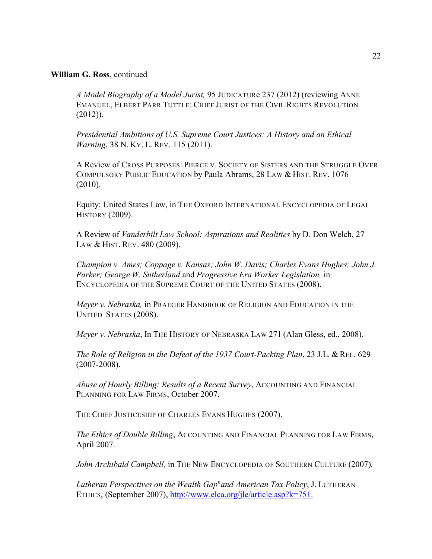#### **William G. Ross**, continued

*A Model Biography of a Model Jurist,* 95 JUDICATURe 237 (2012) (reviewing ANNE EMANUEL, ELBERT PARR TUTTLE: CHIEF JURIST OF THE CIVIL RIGHTS REVOLUTION (2012)).

*Presidential Ambitions of U.S. Supreme Court Justices: A History and an Ethical Warning*, 38 N. KY. L. REV. 115 (2011).

A Review of CROSS PURPOSES: PIERCE V. SOCIETY OF SISTERS AND THE STRUGGLE OVER COMPULSORY PUBLIC EDUCATION by Paula Abrams, 28 LAW & HIST. REV. 1076 (2010).

Equity: United States Law, in THE OXFORD INTERNATIONAL ENCYCLOPEDIA OF LEGAL HISTORY (2009).

A Review of *Vanderbilt Law School: Aspirations and Realities* by D. Don Welch, 27 LAW & HIST. REV. 480 (2009).

*Champion v. Ames; Coppage v. Kansas; John W. Davis; Charles Evans Hughes; John J. Parker; George W. Sutherland* and *Progressive Era Worker Legislation,* in ENCYCLOPEDIA OF THE SUPREME COURT OF THE UNITED STATES (2008).

*Meyer v. Nebraska,* in PRAEGER HANDBOOK OF RELIGION AND EDUCATION IN THE UNITED STATES (2008).

*Meyer v. Nebraska*, In THE HISTORY OF NEBRASKA LAW 271 (Alan Gless, ed., 2008).

*The Role of Religion in the Defeat of the 1937 Court-Packing Plan*, 23 J.L. & REL. 629 (2007-2008).

*Abuse of Hourly Billing: Results of a Recent Survey*, ACCOUNTING AND FINANCIAL PLANNING FOR LAW FIRMS, October 2007.

THE CHIEF JUSTICESHIP OF CHARLES EVANS HUGHES (2007).

*The Ethics of Double Billing*, ACCOUNTING AND FINANCIAL PLANNING FOR LAW FIRMS, April 2007.

John Archibald Campbell, in THE NEW ENCYCLOPEDIA OF SOUTHERN CULTURE (2007).

*Lutheran Perspectives on the Wealth Gap@and American Tax Policy*, J. LUTHERAN ETHICS, (September 2007), <http://www.elca.org/jle/article.asp?k=751.>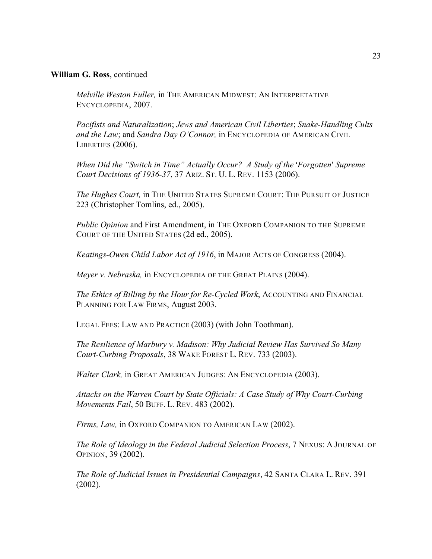#### **William G. Ross**, continued

*Melville Weston Fuller,* in THE AMERICAN MIDWEST: AN INTERPRETATIVE ENCYCLOPEDIA, 2007.

*Pacifists and Naturalization*; *Jews and American Civil Liberties*; *Snake-Handling Cults and the Law*; and *Sandra Day O'Connor,* in ENCYCLOPEDIA OF AMERICAN CIVIL LIBERTIES (2006).

*When Did the "Switch in Time" Actually Occur? A Study of the 'Forgotten' Supreme Court Decisions of 1936-37*, 37 ARIZ. ST. U. L. REV. 1153 (2006).

*The Hughes Court,* in THE UNITED STATES SUPREME COURT: THE PURSUIT OF JUSTICE 223 (Christopher Tomlins, ed., 2005).

*Public Opinion* and First Amendment, in THE OXFORD COMPANION TO THE SUPREME COURT OF THE UNITED STATES (2d ed., 2005).

*Keatings-Owen Child Labor Act of 1916*, in MAJOR ACTS OF CONGRESS (2004).

*Meyer v. Nebraska,* in ENCYCLOPEDIA OF THE GREAT PLAINS (2004).

*The Ethics of Billing by the Hour for Re-Cycled Work*, ACCOUNTING AND FINANCIAL PLANNING FOR LAW FIRMS, August 2003.

LEGAL FEES: LAW AND PRACTICE (2003) (with John Toothman).

*The Resilience of Marbury v. Madison: Why Judicial Review Has Survived So Many Court-Curbing Proposals*, 38 WAKE FOREST L. REV. 733 (2003).

*Walter Clark,* in GREAT AMERICAN JUDGES: AN ENCYCLOPEDIA (2003).

*Attacks on the Warren Court by State Officials: A Case Study of Why Court-Curbing Movements Fail*, 50 BUFF. L. REV. 483 (2002).

*Firms, Law,* in OXFORD COMPANION TO AMERICAN LAW (2002).

*The Role of Ideology in the Federal Judicial Selection Process*, 7 NEXUS: A JOURNAL OF OPINION, 39 (2002).

*The Role of Judicial Issues in Presidential Campaigns*, 42 SANTA CLARA L. REV. 391 (2002).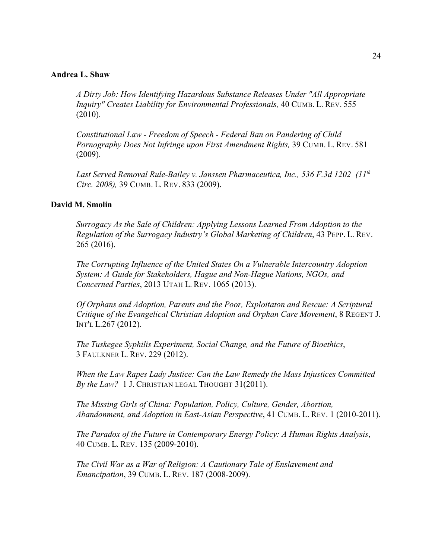#### <span id="page-23-0"></span>**Andrea L. Shaw**

*A Dirty Job: How Identifying Hazardous Substance Releases Under "All Appropriate Inquiry" Creates Liability for Environmental Professionals,* 40 CUMB. L. REV. 555 (2010).

*Constitutional Law - Freedom of Speech - Federal Ban on Pandering of Child Pornography Does Not Infringe upon First Amendment Rights,* 39 CUMB. L. REV. 581 (2009).

*Last Served Removal Rule-Bailey v. Janssen Pharmaceutica, Inc., 536 F.3d 1202 (11th Circ. 2008),* 39 CUMB. L. REV. 833 (2009).

#### **David M. Smolin**

*Surrogacy As the Sale of Children: Applying Lessons Learned From Adoption to the Regulation of the Surrogacy Industry's Global Marketing of Children*, 43 PEPP. L. REV. 265 (2016).

*The Corrupting Influence of the United States On a Vulnerable Intercountry Adoption System: A Guide for Stakeholders, Hague and Non-Hague Nations, NGOs, and Concerned Parties*, 2013 UTAH L. REV. 1065 (2013).

*Of Orphans and Adoption, Parents and the Poor, Exploitaton and Rescue: A Scriptural Critique of the Evangelical Christian Adoption and Orphan Care Movement*, 8 REGENT J. INT'L L.267 (2012).

*The Tuskegee Syphilis Experiment, Social Change, and the Future of Bioethics*, 3 FAULKNER L. REV. 229 (2012).

*When the Law Rapes Lady Justice: Can the Law Remedy the Mass Injustices Committed By the Law?* 1 J. CHRISTIAN LEGAL THOUGHT 31(2011).

*The Missing Girls of China: Population, Policy, Culture, Gender, Abortion, Abandonment, and Adoption in East-Asian Perspective*, 41 CUMB. L. REV. 1 (2010-2011).

*The Paradox of the Future in Contemporary Energy Policy: A Human Rights Analysis*, 40 CUMB. L. REV. 135 (2009-2010).

*The Civil War as a War of Religion: A Cautionary Tale of Enslavement and Emancipation*, 39 CUMB. L. REV. 187 (2008-2009).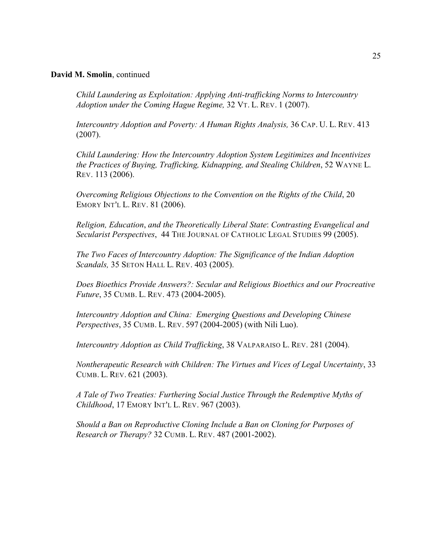#### **David M. Smolin**, continued

*Child Laundering as Exploitation: Applying Anti-trafficking Norms to Intercountry Adoption under the Coming Hague Regime,* 32 VT. L. REV. 1 (2007).

*Intercountry Adoption and Poverty: A Human Rights Analysis,* 36 CAP. U. L. REV. 413 (2007).

*Child Laundering: How the Intercountry Adoption System Legitimizes and Incentivizes the Practices of Buying, Trafficking, Kidnapping, and Stealing Children*, 52 WAYNE L. REV. 113 (2006).

*Overcoming Religious Objections to the Convention on the Rights of the Child*, 20 EMORY INT'L L. REV. 81 (2006).

*Religion, Education*, *and the Theoretically Liberal State*: *Contrasting Evangelical and Secularist Perspectives*, 44 THE JOURNAL OF CATHOLIC LEGAL STUDIES 99 (2005).

*The Two Faces of Intercountry Adoption: The Significance of the Indian Adoption Scandals,* 35 SETON HALL L. REV. 403 (2005).

*Does Bioethics Provide Answers?: Secular and Religious Bioethics and our Procreative Future*, 35 CUMB. L. REV. 473 (2004-2005).

*Intercountry Adoption and China: Emerging Questions and Developing Chinese Perspectives*, 35 CUMB. L. REV. 597 (2004-2005) (with Nili Luo).

*Intercountry Adoption as Child Trafficking*, 38 VALPARAISO L. REV. 281 (2004).

*Nontherapeutic Research with Children: The Virtues and Vices of Legal Uncertainty*, 33 CUMB. L. REV. 621 (2003).

*A Tale of Two Treaties: Furthering Social Justice Through the Redemptive Myths of Childhood*, 17 EMORY INT'L L. REV. 967 (2003).

*Should a Ban on Reproductive Cloning Include a Ban on Cloning for Purposes of Research or Therapy?* 32 CUMB. L. REV. 487 (2001-2002).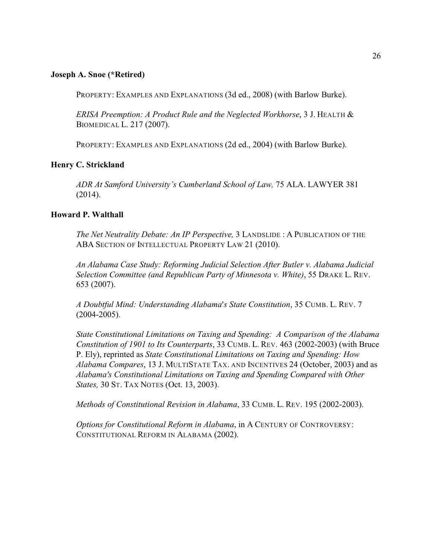### <span id="page-25-0"></span>**Joseph A. Snoe (\*Retired)**

PROPERTY: EXAMPLES AND EXPLANATIONS (3d ed., 2008) (with Barlow Burke).

*ERISA Preemption: A Product Rule and the Neglected Workhorse*, 3 J. HEALTH & BIOMEDICAL L. 217 (2007).

PROPERTY: EXAMPLES AND EXPLANATIONS (2d ed., 2004) (with Barlow Burke).

### **Henry C. Strickland**

*ADR At Samford University's Cumberland School of Law,* 75 ALA. LAWYER 381 (2014).

### **Howard P. Walthall**

*The Net Neutrality Debate: An IP Perspective,* 3 LANDSLIDE : A PUBLICATION OF THE ABA SECTION OF INTELLECTUAL PROPERTY LAW 21 (2010).

*An Alabama Case Study: Reforming Judicial Selection After Butler v. Alabama Judicial Selection Committee (and Republican Party of Minnesota v. White)*, 55 DRAKE L. REV. 653 (2007).

*A Doubtful Mind: Understanding Alabama=s State Constitution*, 35 CUMB. L. REV. 7 (2004-2005).

*State Constitutional Limitations on Taxing and Spending: A Comparison of the Alabama Constitution of 1901 to Its Counterparts*, 33 CUMB. L. REV. 463 (2002-2003) (with Bruce P. Ely), reprinted as *State Constitutional Limitations on Taxing and Spending: How Alabama Compares*, 13 J. MULTISTATE TAX. AND INCENTIVES 24 (October, 2003) and as *Alabama's Constitutional Limitations on Taxing and Spending Compared with Other States,* 30 ST. TAX NOTES (Oct. 13, 2003).

*Methods of Constitutional Revision in Alabama*, 33 CUMB. L. REV. 195 (2002-2003).

*Options for Constitutional Reform in Alabama*, in A CENTURY OF CONTROVERSY: CONSTITUTIONAL REFORM IN ALABAMA (2002).